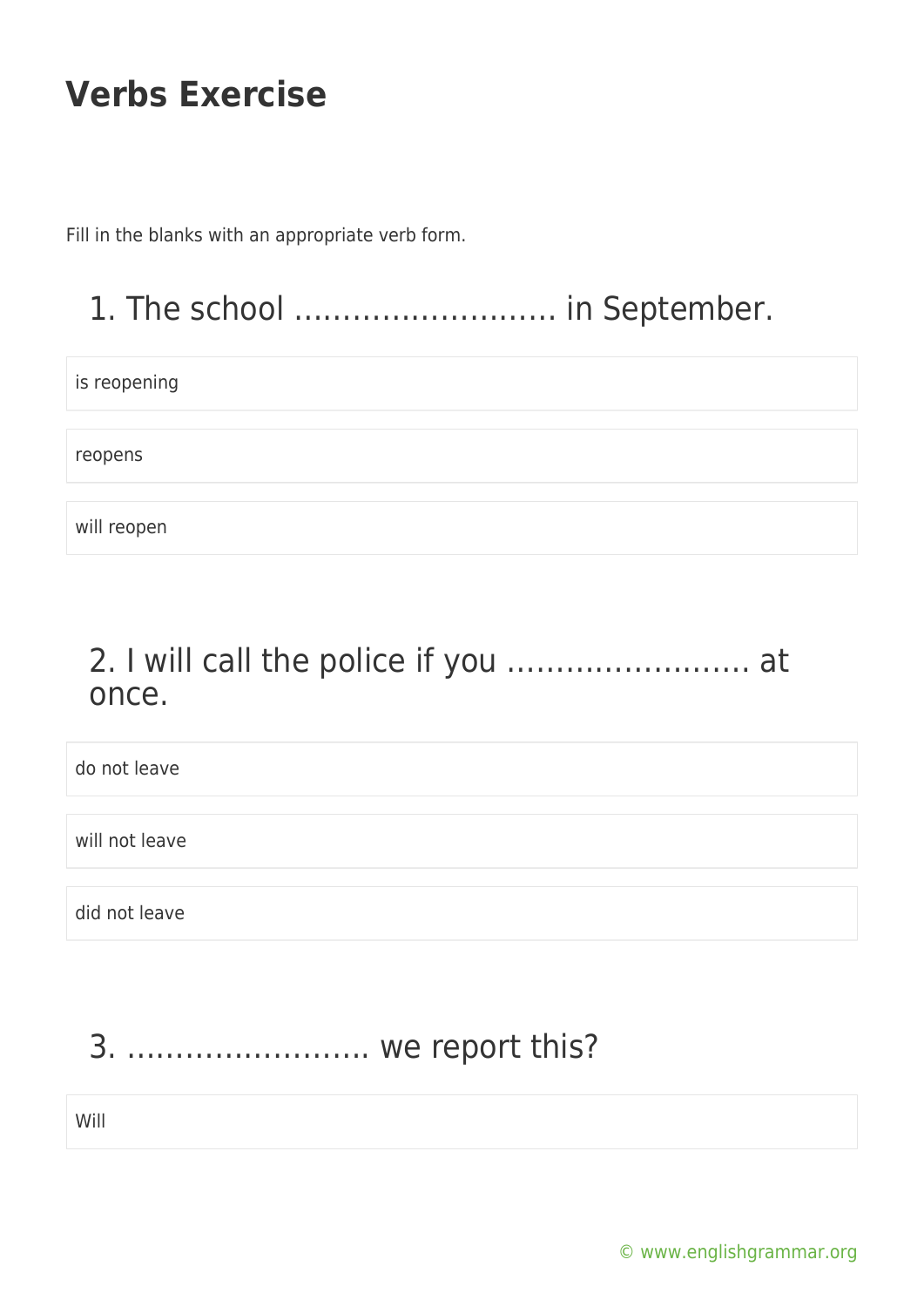Fill in the blanks with an appropriate verb form.

### 1. The school ……………………… in September.

is reopening

reopens

will reopen

#### 2. I will call the police if you ……………………. at once.

do not leave will not leave did not leave

#### 3. ……………………. we report this?

Will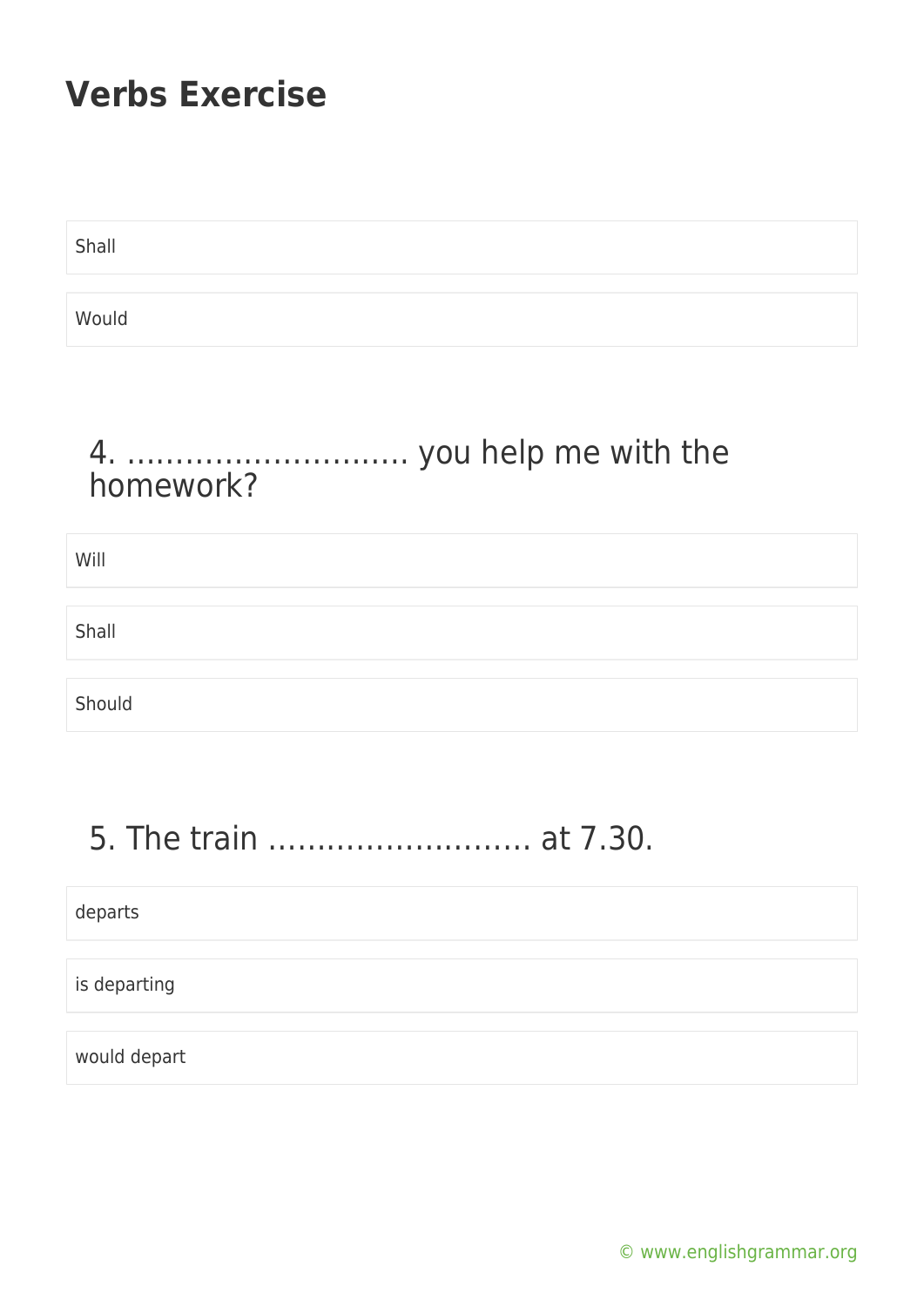Shall

Would

#### 4. ……………………….. you help me with the homework?

| Will   |  |
|--------|--|
|        |  |
| Shall  |  |
|        |  |
| Should |  |

# 5. The train ……………………… at 7.30.

departs

is departing

would depart

[© www.englishgrammar.org](https://www.englishgrammar.org/)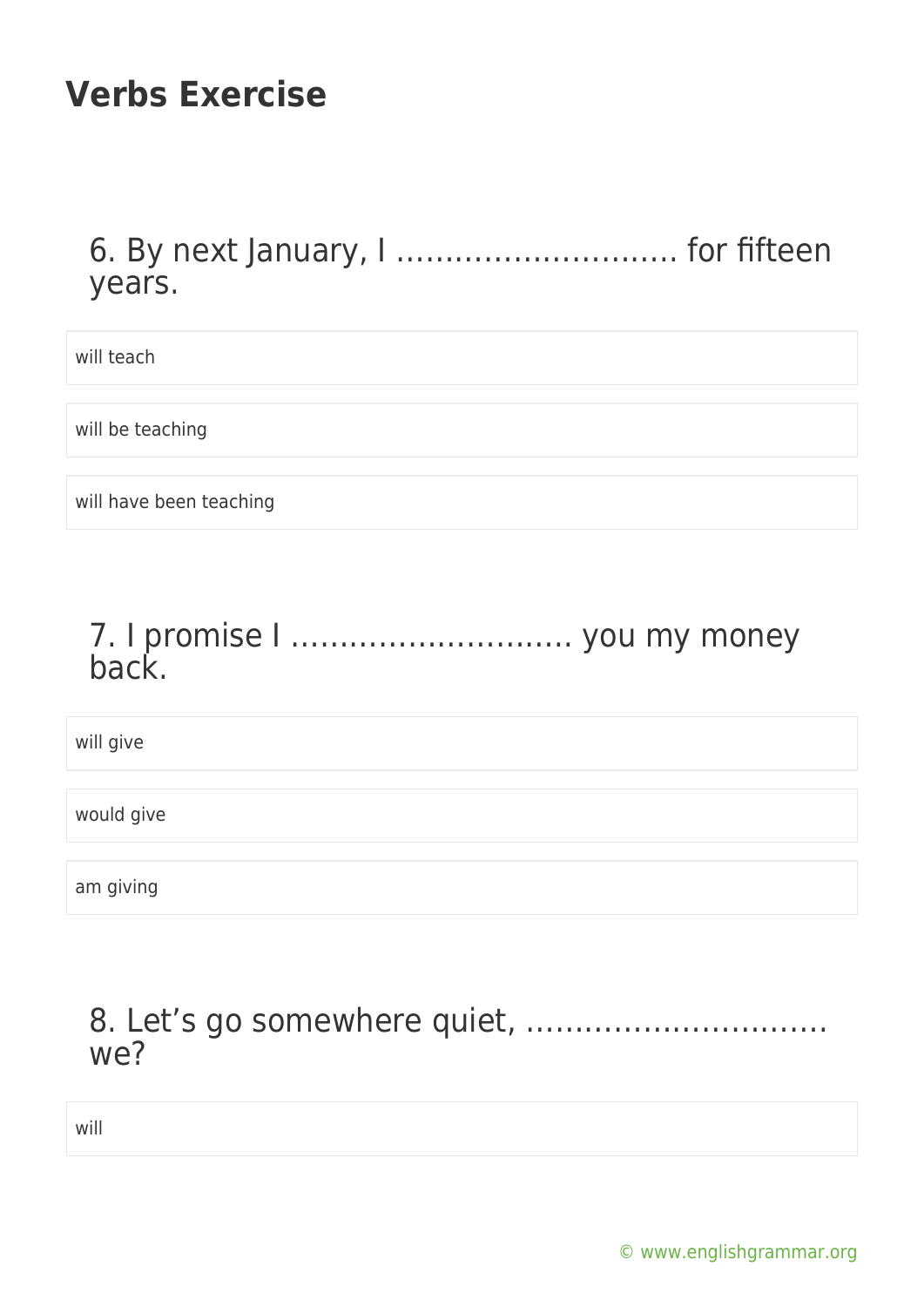6. By next January, I ……………………….. for fifteen years.

will teach

will be teaching

will have been teaching

#### 7. I promise I ……………………….. you my money back.

will give

would give

am giving

#### 8. Let's go somewhere quiet, …………………………. we?

will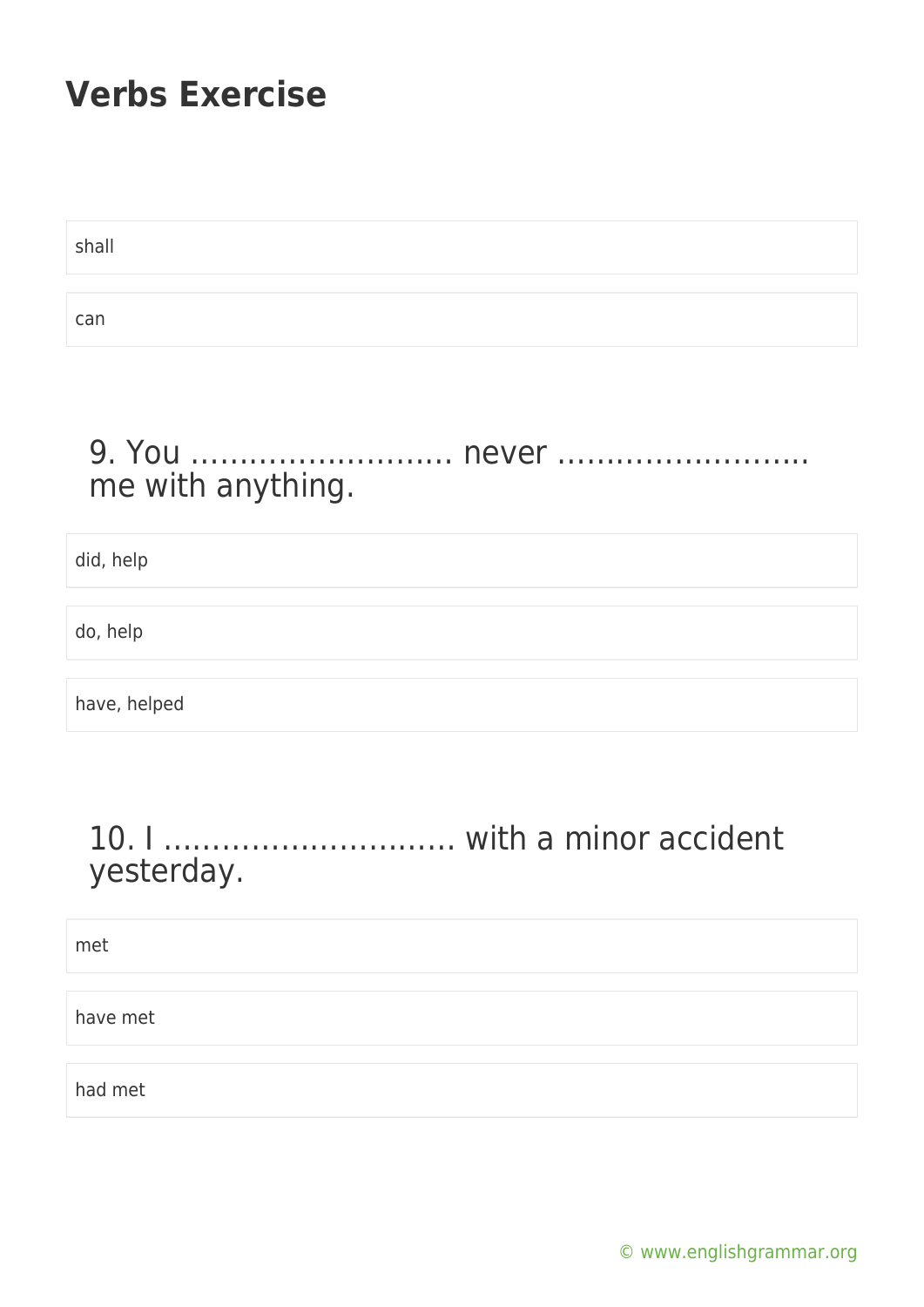shall can

#### 9. You ……………………… never …………………….. me with anything.

did, help

do, help

have, helped

#### 10. I ………………………… with a minor accident yesterday.

met

have met

had met

[© www.englishgrammar.org](https://www.englishgrammar.org/)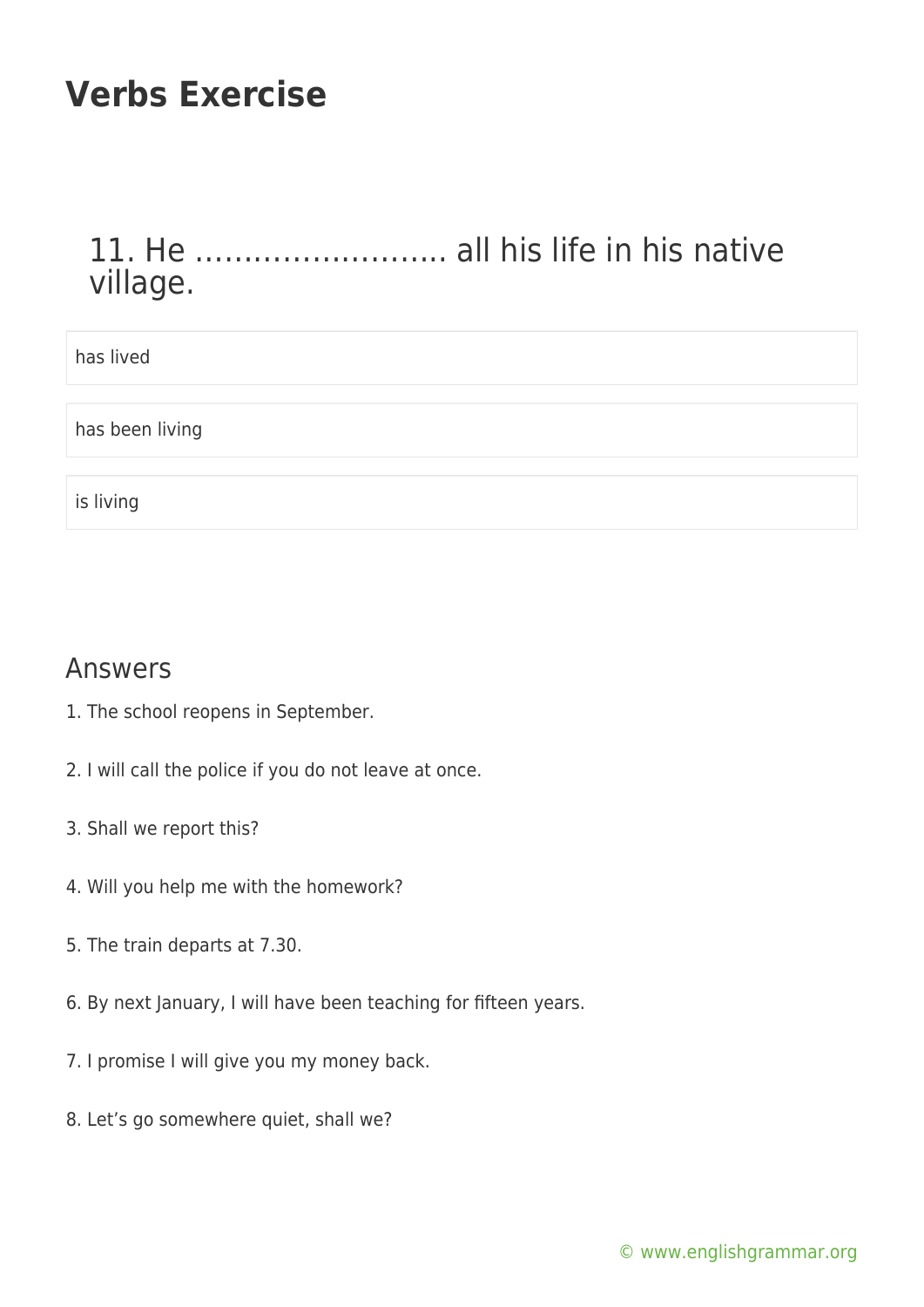### 11. He …………………….. all his life in his native village.

| has lived       |
|-----------------|
|                 |
| has been living |
|                 |
| is living       |

#### Answers

- 1. The school reopens in September.
- 2. I will call the police if you do not leave at once.
- 3. Shall we report this?
- 4. Will you help me with the homework?
- 5. The train departs at 7.30.
- 6. By next January, I will have been teaching for fifteen years.
- 7. I promise I will give you my money back.
- 8. Let's go somewhere quiet, shall we?